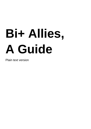# **Bi+ Allies, A Guide**

Plain text version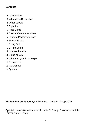# **Contents**

- 3 Introduction
- 4 What does Bi+ Mean?
- Other Labels
- Biphobia
- Hate Crime
- Sexual Violence & Abuse
- Intimate Partner Violence
- Mental Health
- Being Out
- Bi+ Inclusion
- Intersectionality
- Being an Ally
- What can you do to Help?
- Resources
- References
- 14 Quotes

**Written and produced by:** E Metcalfe, Leeds Bi Group 2019

**Special thanks to:** Attendees of Leeds Bi Group, J Yockney and the LGBT+ Futures Fund.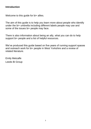## **Introduction**

Welcome to this guide for bi+ allies.

The aim of this guide is to help you learn more about people who identify under the bi+ umbrella including different labels people may use and some of the issues bi+ people may face.

There is also information about being an ally, what you can do to help support bi+ people and a list of helpful resources.

We've produced this guide based on five years of running support spaces and outreach work for bi+ people in West Yorkshire and a review of related literature.

Emily Metcalfe Leeds Bi Group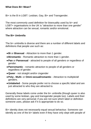## **What Does Bi+ Mean?**

Bi+ is the B in LGBT: Lesbian, Gay, Bi+ and Transgender.

The most commonly used definition for bisexuality used by bi+ and LGBT+ organisations in the UK is "attraction to more than one gender" where attraction can be sexual, romantic and/or emotional.

## **The Bi+ Umbrella**

The bi+ umbrella is diverse and there are a number of different labels and definitions that people use such as:

- ●**Bi** or **Bisexual**  Attraction to more than 1 gender.
- ●**Biromantic** Romantic attraction to more than 1 gender.
- ●**Pan** or **Pansexual** attracted to people of all genders or regardless of gender.
- ●**Panromantic** romantic attraction to people of all genders or regardless of gender.
- ●**Queer**  not straight and/or cisgender
- ●**Poly-**, **Multi-** or **Omni-sexual/romantic** Attraction to multiple/all genders.
- ●**Unlabeled** Some people prefer not to choose a specific label and are just attracted to who they are attracted to.

Generally these labels come under the bi+ umbrella (though queer is also used by some lesbian, gay and transgender people too). Labels and their definitions are very personal; if you are not sure which label or definition someone uses, please ask if it is appropriate to do so.

Bi+ identity does not necessarily equal sexual behaviour. Someone can identify as one of the bi+ labels even if they have only slept with people of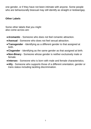one gender, or if they have not been intimate with anyone. Some people who are behaviourally bisexual may still identify as straight or lesbian/gay.

## **Other Labels**

Some other labels that you might also come across are:

- ●**Aromantic** Someone who does not feel romantic attraction.
- ●**Asexual** Someone who does not feel sexual attraction.
- ●**Transgender** Identifying as a different gender to that assigned at birth.
- ●**Cisgender** Identifying as the same gender as that assigned at birth.
- ●**Non-Binary** Someone whose gender is neither exclusively male or female.
- ●**Intersex**  Someone who is born with male and female characteristics.
- Ally Someone who supports those of a different orientation, gender or trans status including tackling discrimination.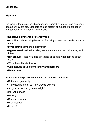## **Bi+ Issues**

# **Biphobia**

Biphobia is the prejudice, discrimination against or attack upon someone because they are bi+. Biphobia can be blatant or subtle; intentional or unintentional. Examples of this include:

- ●**Negative comments or stereotypes**
- ●**Hostility** such as being harassed for being at an LGBT Pride or similar event
- ●**Invalidating** someone's orientation
- ●**Hypersexualisation** including assumptions about sexual activity and interests
- Bi+ erasure not including bi+ topics or people when talking about LGBT
- ●Workplace **discrimination**
- ●**Can include abuse from family and partners**
- ●**Hate crime**

Some harmful/biphobic comments and stereotypes include:

- ●But you're gay really
- They used to be bi, but now they're with me
- So you've decided you're straight?
- ●It's just a phase
- Greedy
- ●Disease spreader
- ●Promiscuous
- ●Unfaithful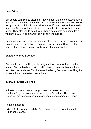# **Hate Crime**

Bi+ people can also be victims of hate crimes: violence or abuse due to their sexual/romantic orientation. In 2017 the Crown Prosecution Service recognised that biphobic hate crime is specific and that victims' needs may be different to that of victims of homophobic or transphobic hate crime. They also made note that biphobic hate crime can come from within the LGBT+ community as well as from outside.

Research shows a similar percentage of bi+ men and women experience violence due to orientation as gay men and lesbians. However, for bi+ people that violence is more likely to be of a sexual nature.

## **Sexual Violence & Abuse**

Bi+ people are more likely to be subjected to sexual violence and/or abuse. Bisexual girls are twice as likely as heterosexual girls to have reported sexual abuse. This increased to being 10 times more likely for bisexual boys than heterosexual boys.

#### **Intimate Partner Violence**

Intimate partner violence is physical/sexual violence and/or emotional/psychological abuse by a person's partner. There is an increased prevalence of intimate partner violence among bi+ people.

Related statistics:

●61.1% of bi women and 37.3% of bi men have reported intimate partner violence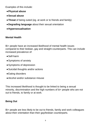Examples of this include:

- ●**Physical abuse**
- ●**Sexual abuse**
- **Threat** of being outed (eg. at work or to friends and family)
- ●**Degrading language** about their sexual orientation
- ●**Hypersexualisation**

# **Mental Health**

Bi+ people have an increased likelihood of mental health issues compared to their lesbian, gay and straight counterparts. This can include increased prevalence of:

- ●Self-harm
- ●Symptoms of anxiety
- ●Symptoms of depression
- Suicidal thoughts and/or actions
- ●Eating disorders
- Alcohol and/or substance misuse

This increased likelihood is thought to be linked to being a sexual minority, discrimination and the high numbers of bi+ people who are not out to friends, to family or at work.

# **Being Out**

Bi+ people are less likely to be out to friends, family and work colleagues about their orientation than their gay/lesbian counterparts.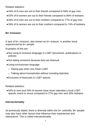Related statistics:

- ●44% of bi men are out to their friends compared to 84% of gay men
- ●53% of bi women are out to their friends compared to 86% of lesbians
- 28% of bi men are out to their mothers compared to 77% of gay men
- 39% of bi women are out to their mothers compared to 74% of lesbians

# **Bi+ Inclusion**

A lack of bi+ inclusion, also known as bi+ erasure, is another issue experienced by bi+ people.

Examples of this are:

- Not using bi inclusive language in LGBT documents, publications or policies
- Not dating someone because they are bisexual
- ●Using exclusionary language
	- o Saying gay when you mean LGBT
	- o Talking about homophobia without including biphobia
- ●Exclusion of bisexuals in LGBT spaces

Related statistics:

●50% bi men and 43% bi women have never attended a local LGBT specific event or venue compared to 27% gay men and 33% lesbains

# **Intersectionality**

As previously stated, there is diversity within the bi+ umbrella. Bi+ people may also have other factors that influence their experiences and interactions. This is called intersectionality.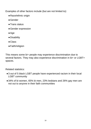Examples of other factors include (but are not limited to):

- ●Race/ethnic origin
- ●Gender
- Trans status
- ●Gender expression
- ●Age
- ●Disability
- ●Class
- ●Faith/religion

This means some bi+ people may experience discrimination due to several factors. They may also experience discrimination in bi+ or LGBT+ spaces.

Related statistics:

- 3 out of 5 black LGBT people have experienced racism in their local LGBT community
- 34% of bi women, 65% bi men, 23% lesbians and 26% gay men are not out to anyone in their faith communities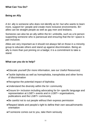## **What Can You Do?**

## **Being an Ally**

A bi+ ally is someone who does not identify as bi+ but who wants to learn more, support bi+ people and create more inclusive environments. Bi+ allies can be straight people as well as gay men and lesbians.

Someone can also be an ally within the bi+ umbrella, such as a bi person supporting someone who is pansexual and ensuring that the bi+ space is pan inclusive.

Allies are very important as it should not always fall on those in a minority group to educate others and stand up against discrimination. Being an ally is more than just pinning on a badge; it is a commitment to take a stand.

#### **What can you do to help?**

- Educate yourself (for more information, see our Useful Resources)
- ●Tackle biphobia as well as homophobia, transphobia and other forms of discrimination
- Recognise the potential impact of biphobia
- Understand the diversity within the bi+ community
- ●Ensure bi+ inclusion including advocating for bi+ specific language and representation at LGBT+ events and in LGBT+ organisations, publications and the LGBT+ community
- Be careful not to out people without their express permission
- Respect labels and people's right to define their own sexual/romantic orientation
- ●If someone comes out to you, take them seriously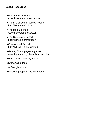# **Useful Resources**

- ●Bi Community News www.bicommunitynews.co.uk
- The Bi's of Colour Survey Report http://bit.ly/Bisofcolour
- ●The Bisexual Index www.bisexualindex.org.uk
- ●The Bisexuality Report http://bimedia.org/bireport
- ●Complicated Report http://bit.ly/EN-Complicated
- Getting Bi in a gay/straight world www.biphoria.org.uk/publications.html
- ●Purple Prose by Katy Harrad
- Stonewall guides
	- o Straight allies
- ●Bisexual people in the workplace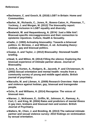- ●**Bachmann, C. and Gooch, B. (2018) LGBT in Britain: Home and Communities.**
- ●**Barker, M., Richards, C., Jones, R., Bowes-Caton, H., Plowman, T., Yockney, J. and Morgan, M. (2012) The bisexuality report: Bisexual inclusion in LGBT equality and diversity.**
- ●**Bostwick, W. and Hequembourg, A. (2014) 'Just a little hint': Bisexual-specific microaggressions and their connection to epistemic injustices. Culture, Health & Sexuality.**
- ●**Eadie, J. (1993) Activating bisexuality: Towards a bi/sexual politics. In: Birstow, J. and Wilson, A. ed. Activating theory: Lesbian, gay and bisexual politics.**
- ●**Guasp, A. and Taylor, J. (2012) Bisexuality: Stonewall health briefing.**
- ●**Head, S. and Milton, M. (2014) Filling the silence: Exploring the bisexual experience of intimate partner abuse. Journal of Bisexuality.**
- ●**Jorm, A., Korten, A., Rodgers, B., Jacomb, P. and Christensen, H. (2002) Sexual orientation and mental health: results from a community survey of young and middle aged adults. British journal of psychiatry.**
- ●**Marzullo, M. and Libman, A. (2009) Research Overview: Hate crime and violence against lesbian, gay, bisexual and transgender people.**
- ●**Ochs, R. and Williams, H. (2014) Recognize: The voices of bisexual men.**
- ●**Warner, J., McKeown, E., Griffin, M., Johnson, K., Ramsay, A., Cort, C. and King, M. (2004) Rates and predictors of mental illness in gay men, lesbians and bisexual men and women. British Journal of Psychiatry.**
- ●**Walters, M., Chen, J. and Breiding, M. (2013) The national intimate partner and sexual violence survey: 2010 findings on victimization by sexual orientation.**